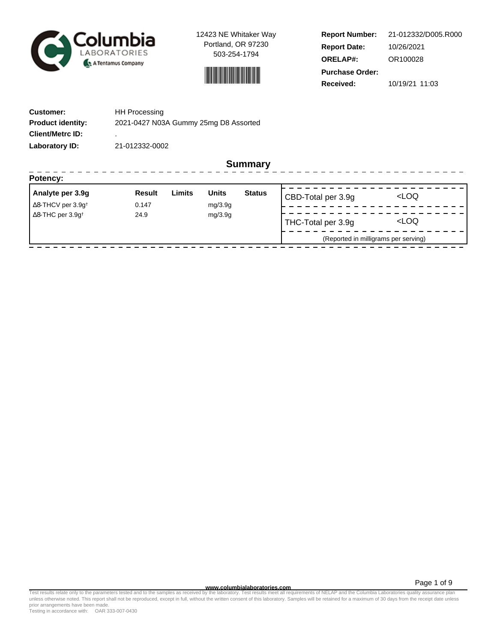

12423 NE Whitaker Way Portland, OR 97230 503-254-1794



| <b>Report Number:</b>  | 21-012332/D005.R000 |  |  |  |
|------------------------|---------------------|--|--|--|
| <b>Report Date:</b>    | 10/26/2021          |  |  |  |
| <b>ORELAP#:</b>        | OR100028            |  |  |  |
| <b>Purchase Order:</b> |                     |  |  |  |
| Received:              | 10/19/21 11:03      |  |  |  |

| <b>Customer:</b>         | <b>HH Processing</b>                  |
|--------------------------|---------------------------------------|
| <b>Product identity:</b> | 2021-0427 N03A Gummy 25mg D8 Assorted |
| <b>Client/Metrc ID:</b>  | ٠                                     |
| Laboratory ID:           | 21-012332-0002                        |

**Summary**

| Analyte per 3.9g                             | Result  | Limits | <b>Units</b>       | <b>Status</b>       | CBD-Total per 3.9g                   | <loq< th=""></loq<> |  |
|----------------------------------------------|---------|--------|--------------------|---------------------|--------------------------------------|---------------------|--|
| $\Delta$ 8-THCV per 3.9g <sup>+</sup>        | 0.147   |        | mg/3.9g            |                     |                                      |                     |  |
| $\Delta$ 8-THC per 3.9g <sup>+</sup><br>24.9 | mg/3.9g |        | THC-Total per 3.9g | <loq< td=""></loq<> |                                      |                     |  |
|                                              |         |        |                    |                     | (Reported in milligrams per serving) |                     |  |

**WWW.columbialaboratories.com**<br>unless otherwise noted. This report shall not be reproduced, except in full, without the written consent of this laboratory. Samples will be retained for a maximum of 30 days from the receipt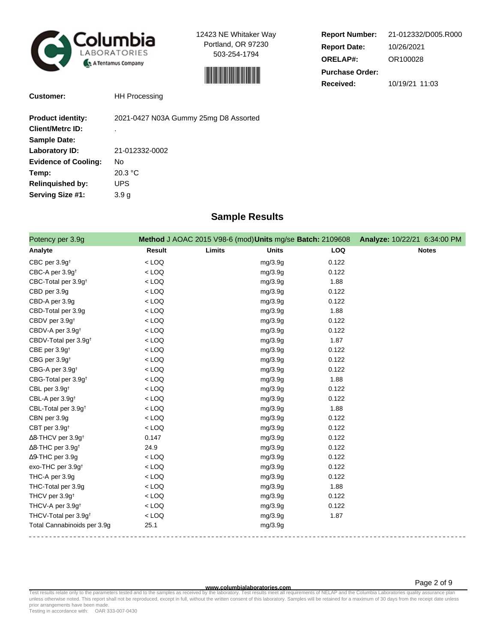

12423 NE Whitaker Way Portland, OR 97230 503-254-1794



| <b>Report Number:</b>  | 21-012332/D005.R000 |  |  |  |  |  |
|------------------------|---------------------|--|--|--|--|--|
| <b>Report Date:</b>    | 10/26/2021          |  |  |  |  |  |
| <b>ORELAP#:</b>        | OR100028            |  |  |  |  |  |
| <b>Purchase Order:</b> |                     |  |  |  |  |  |
| <b>Received:</b>       | 10/19/21 11:03      |  |  |  |  |  |

**Customer:** HH Processing

| <b>Product identity:</b>    | 2021-0427 N03A Gummy 25mg D8 Assorted |
|-----------------------------|---------------------------------------|
| <b>Client/Metrc ID:</b>     | ٠                                     |
| <b>Sample Date:</b>         |                                       |
| Laboratory ID:              | 21-012332-0002                        |
| <b>Evidence of Cooling:</b> | No                                    |
| Temp:                       | 20.3 °C                               |
| <b>Relinquished by:</b>     | UPS                                   |
| Serving Size #1:            | 3.9 <sub>g</sub>                      |

## **Sample Results**

| Potency per 3.9g                     |               | Method J AOAC 2015 V98-6 (mod) Units mg/se Batch: 2109608 Analyze: 10/22/21 6:34:00 PM |            |              |
|--------------------------------------|---------------|----------------------------------------------------------------------------------------|------------|--------------|
| Analyte                              | <b>Result</b> | Limits<br><b>Units</b>                                                                 | <b>LOQ</b> | <b>Notes</b> |
| CBC per 3.9g <sup>t</sup>            | $<$ LOQ       | mg/3.9g                                                                                | 0.122      |              |
| CBC-A per 3.9g <sup>t</sup>          | $<$ LOQ       | mg/3.9g                                                                                | 0.122      |              |
| CBC-Total per 3.9g <sup>+</sup>      | $<$ LOQ       | mg/3.9g                                                                                | 1.88       |              |
| CBD per 3.9g                         | $<$ LOQ       | mg/3.9g                                                                                | 0.122      |              |
| CBD-A per 3.9g                       | $<$ LOQ       | mg/3.9g                                                                                | 0.122      |              |
| CBD-Total per 3.9g                   | $<$ LOQ       | mg/3.9g                                                                                | 1.88       |              |
| CBDV per 3.9g <sup>+</sup>           | $<$ LOQ       | mg/3.9g                                                                                | 0.122      |              |
| CBDV-A per 3.9g <sup>+</sup>         | $<$ LOQ       | mg/3.9g                                                                                | 0.122      |              |
| CBDV-Total per 3.9g <sup>+</sup>     | $<$ LOQ       | mg/3.9g                                                                                | 1.87       |              |
| CBE per 3.9g <sup>+</sup>            | $<$ LOQ       | mg/3.9g                                                                                | 0.122      |              |
| CBG per 3.9g <sup>t</sup>            | $<$ LOQ       | mg/3.9g                                                                                | 0.122      |              |
| CBG-A per 3.9g <sup>t</sup>          | $<$ LOQ       | mg/3.9g                                                                                | 0.122      |              |
| CBG-Total per 3.9g <sup>+</sup>      | $<$ LOQ       | mg/3.9g                                                                                | 1.88       |              |
| CBL per 3.9g <sup>t</sup>            | $<$ LOQ       | mg/3.9g                                                                                | 0.122      |              |
| CBL-A per 3.9g <sup>+</sup>          | $<$ LOQ       | mg/3.9g                                                                                | 0.122      |              |
| CBL-Total per 3.9g <sup>+</sup>      | $<$ LOQ       | mg/3.9g                                                                                | 1.88       |              |
| CBN per 3.9g                         | $<$ LOQ       | mg/3.9g                                                                                | 0.122      |              |
| CBT per 3.9g <sup>t</sup>            | $<$ LOQ       | mg/3.9g                                                                                | 0.122      |              |
| ∆8-THCV per 3.9g <sup>+</sup>        | 0.147         | mg/3.9g                                                                                | 0.122      |              |
| $\Delta$ 8-THC per 3.9g <sup>+</sup> | 24.9          | mg/3.9g                                                                                | 0.122      |              |
| $\Delta$ 9-THC per 3.9g              | $<$ LOQ       | mg/3.9g                                                                                | 0.122      |              |
| exo-THC per 3.9g <sup>+</sup>        | $<$ LOQ       | mg/3.9g                                                                                | 0.122      |              |
| THC-A per 3.9g                       | $<$ LOQ       | mg/3.9g                                                                                | 0.122      |              |
| THC-Total per 3.9g                   | $<$ LOQ       | mg/3.9g                                                                                | 1.88       |              |
| THCV per 3.9g <sup>t</sup>           | $<$ LOQ       | mg/3.9g                                                                                | 0.122      |              |
| THCV-A per 3.9g <sup>+</sup>         | $<$ LOQ       | mg/3.9g                                                                                | 0.122      |              |
| THCV-Total per 3.9g <sup>+</sup>     | $<$ LOQ       | mg/3.9g                                                                                | 1.87       |              |
| Total Cannabinoids per 3.9g          | 25.1          | mg/3.9g                                                                                |            |              |

**WWW.columbialaboratories.com**<br>unless otherwise noted. This report shall not be reproduced, except in full, without the written consent of this laboratory. Samples will be retained for a maximum of 30 days from the receipt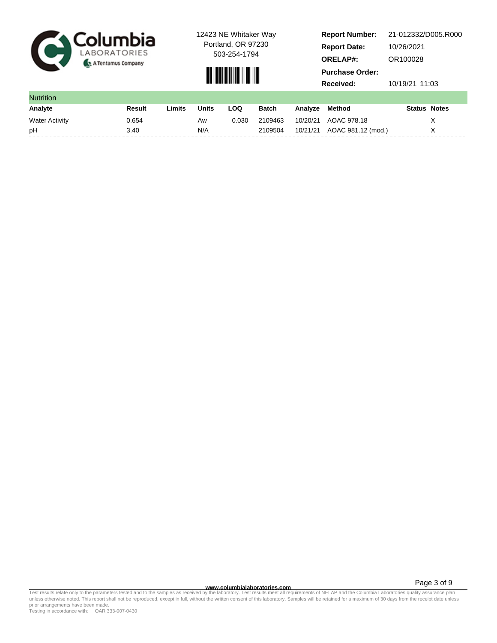

12423 NE Whitaker Way Portland, OR 97230

503-254-1794



**Report Number: Report Date: ORELAP#:** 10/26/2021 OR100028 **Received:** 10/19/21 11:03 **Purchase Order:** 21-012332/D005.R000

| <b>Nutrition</b>      |        |        |       |       |         |          |                             |                     |  |
|-----------------------|--------|--------|-------|-------|---------|----------|-----------------------------|---------------------|--|
| Analyte               | Result | Limits | Units | LOQ   | Batch   | Analvze  | Method                      | <b>Status Notes</b> |  |
| <b>Water Activity</b> | 0.654  |        | Aw    | 0.030 | 2109463 | 10/20/21 | AOAC 978.18                 |                     |  |
| рH                    | 3.40   |        | N/A   |       | 2109504 |          | 10/21/21 AOAC 981.12 (mod.) |                     |  |

**WWW.columbialaboratories.com**<br>unless otherwise noted. This report shall not be reproduced, except in full, without the written consent of this laboratory. Samples will be retained for a maximum of 30 days from the receipt